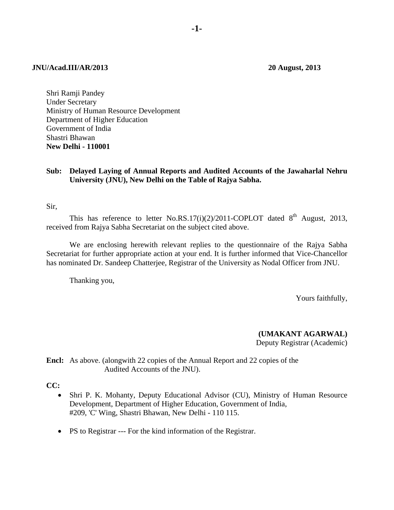#### **JNU/Acad.III/AR/2013 20 August, 2013**

Shri Ramji Pandey Under Secretary Ministry of Human Resource Development Department of Higher Education Government of India Shastri Bhawan **New Delhi - 110001** 

#### **Sub: Delayed Laying of Annual Reports and Audited Accounts of the Jawaharlal Nehru University (JNU), New Delhi on the Table of Rajya Sabha.**

Sir,

This has reference to letter No.RS.17(i)(2)/2011-COPLOT dated  $8<sup>th</sup>$  August, 2013, received from Rajya Sabha Secretariat on the subject cited above.

 We are enclosing herewith relevant replies to the questionnaire of the Rajya Sabha Secretariat for further appropriate action at your end. It is further informed that Vice-Chancellor has nominated Dr. Sandeep Chatterjee, Registrar of the University as Nodal Officer from JNU.

Thanking you,

Yours faithfully,

**(UMAKANT AGARWAL)** Deputy Registrar (Academic)

**Encl:** As above. (alongwith 22 copies of the Annual Report and 22 copies of the Audited Accounts of the JNU).

**CC:** 

- Shri P. K. Mohanty, Deputy Educational Advisor (CU), Ministry of Human Resource Development, Department of Higher Education, Government of India, #209, 'C' Wing, Shastri Bhawan, New Delhi - 110 115.
- PS to Registrar --- For the kind information of the Registrar.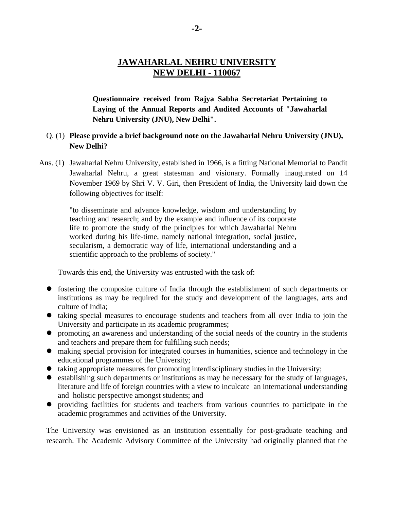# **JAWAHARLAL NEHRU UNIVERSITY NEW DELHI - 110067**

**Questionnaire received from Rajya Sabha Secretariat Pertaining to Laying of the Annual Reports and Audited Accounts of "Jawaharlal Nehru University (JNU), New Delhi".** 

## Q. (1) **Please provide a brief background note on the Jawaharlal Nehru University (JNU), New Delhi?**

 Ans. (1) Jawaharlal Nehru University, established in 1966, is a fitting National Memorial to Pandit Jawaharlal Nehru, a great statesman and visionary. Formally inaugurated on 14 November 1969 by Shri V. V. Giri, then President of India, the University laid down the following objectives for itself:

"to disseminate and advance knowledge, wisdom and understanding by teaching and research; and by the example and influence of its corporate life to promote the study of the principles for which Jawaharlal Nehru worked during his life-time, namely national integration, social justice, secularism, a democratic way of life, international understanding and a scientific approach to the problems of society."

Towards this end, the University was entrusted with the task of:

- fostering the composite culture of India through the establishment of such departments or institutions as may be required for the study and development of the languages, arts and culture of India;
- taking special measures to encourage students and teachers from all over India to join the University and participate in its academic programmes;
- promoting an awareness and understanding of the social needs of the country in the students and teachers and prepare them for fulfilling such needs;
- making special provision for integrated courses in humanities, science and technology in the educational programmes of the University;
- $\bullet$  taking appropriate measures for promoting interdisciplinary studies in the University;
- establishing such departments or institutions as may be necessary for the study of languages, literature and life of foreign countries with a view to inculcate an international understanding and holistic perspective amongst students; and
- providing facilities for students and teachers from various countries to participate in the academic programmes and activities of the University.

The University was envisioned as an institution essentially for post-graduate teaching and research. The Academic Advisory Committee of the University had originally planned that the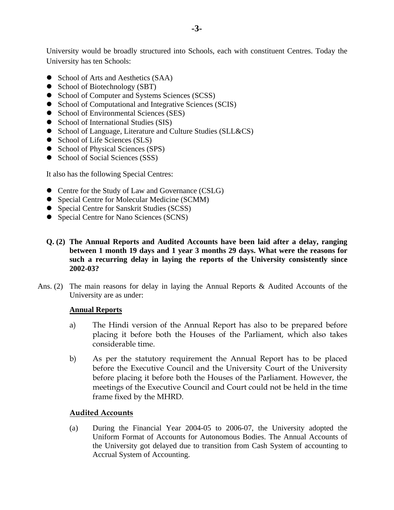University would be broadly structured into Schools, each with constituent Centres. Today the University has ten Schools:

- School of Arts and Aesthetics (SAA)
- School of Biotechnology (SBT)
- School of Computer and Systems Sciences (SCSS)
- School of Computational and Integrative Sciences (SCIS)
- School of Environmental Sciences (SES)
- School of International Studies (SIS)
- School of Language, Literature and Culture Studies (SLL&CS)
- School of Life Sciences (SLS)
- School of Physical Sciences (SPS)
- School of Social Sciences (SSS)

It also has the following Special Centres:

- Centre for the Study of Law and Governance (CSLG)
- Special Centre for Molecular Medicine (SCMM)
- Special Centre for Sanskrit Studies (SCSS)
- Special Centre for Nano Sciences (SCNS)
- **Q. (2) The Annual Reports and Audited Accounts have been laid after a delay, ranging between 1 month 19 days and 1 year 3 months 29 days. What were the reasons for such a recurring delay in laying the reports of the University consistently since 2002-03?**
- Ans. (2) The main reasons for delay in laying the Annual Reports & Audited Accounts of the University are as under:

## **Annual Reports**

- a) The Hindi version of the Annual Report has also to be prepared before placing it before both the Houses of the Parliament, which also takes considerable time.
- b) As per the statutory requirement the Annual Report has to be placed before the Executive Council and the University Court of the University before placing it before both the Houses of the Parliament. However, the meetings of the Executive Council and Court could not be held in the time frame fixed by the MHRD.

# **Audited Accounts**

(a) During the Financial Year 2004-05 to 2006-07, the University adopted the Uniform Format of Accounts for Autonomous Bodies. The Annual Accounts of the University got delayed due to transition from Cash System of accounting to Accrual System of Accounting.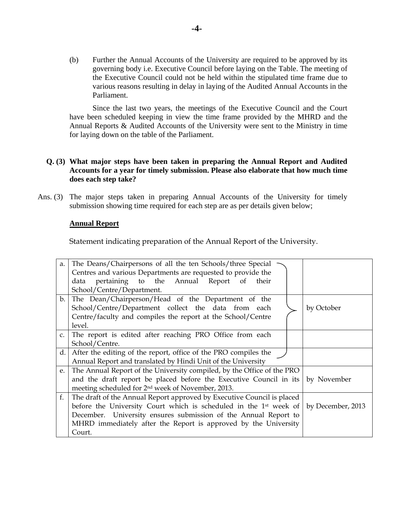(b) Further the Annual Accounts of the University are required to be approved by its governing body i.e. Executive Council before laying on the Table. The meeting of the Executive Council could not be held within the stipulated time frame due to various reasons resulting in delay in laying of the Audited Annual Accounts in the Parliament.

 Since the last two years, the meetings of the Executive Council and the Court have been scheduled keeping in view the time frame provided by the MHRD and the Annual Reports & Audited Accounts of the University were sent to the Ministry in time for laying down on the table of the Parliament.

### **Q. (3) What major steps have been taken in preparing the Annual Report and Audited Accounts for a year for timely submission. Please also elaborate that how much time does each step take?**

Ans. (3) The major steps taken in preparing Annual Accounts of the University for timely submission showing time required for each step are as per details given below;

#### **Annual Report**

Statement indicating preparation of the Annual Report of the University.

| a.             | The Deans/Chairpersons of all the ten Schools/three Special                   |                   |  |
|----------------|-------------------------------------------------------------------------------|-------------------|--|
|                | Centres and various Departments are requested to provide the                  |                   |  |
|                | data pertaining to the Annual Report of their                                 |                   |  |
|                | School/Centre/Department.                                                     |                   |  |
| $\mathbf{b}$ . | The Dean/Chairperson/Head of the Department of the                            |                   |  |
|                | School/Centre/Department collect the data from each                           | by October        |  |
|                | Centre/faculty and compiles the report at the School/Centre                   |                   |  |
|                | level.                                                                        |                   |  |
| C <sub>1</sub> | The report is edited after reaching PRO Office from each                      |                   |  |
|                | School/Centre.                                                                |                   |  |
| d.             | After the editing of the report, office of the PRO compiles the               |                   |  |
|                | Annual Report and translated by Hindi Unit of the University                  |                   |  |
| e.             | The Annual Report of the University compiled, by the Office of the PRO        |                   |  |
|                | and the draft report be placed before the Executive Council in its            | by November       |  |
|                | meeting scheduled for 2 <sup>nd</sup> week of November, 2013.                 |                   |  |
| f.             | The draft of the Annual Report approved by Executive Council is placed        |                   |  |
|                | before the University Court which is scheduled in the 1 <sup>st</sup> week of | by December, 2013 |  |
|                | December. University ensures submission of the Annual Report to               |                   |  |
|                | MHRD immediately after the Report is approved by the University               |                   |  |
|                | Court.                                                                        |                   |  |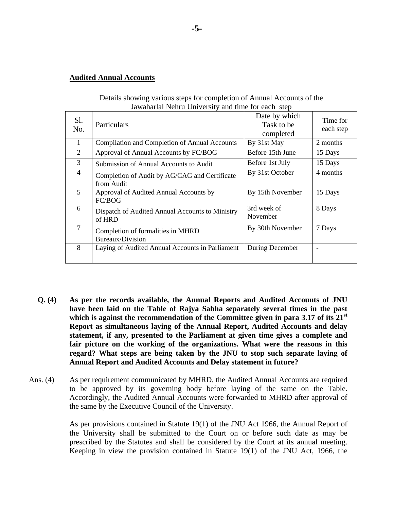#### **Audited Annual Accounts**

| Jawanarial Nenru University and time for each step |                                                             |                                          |                       |  |  |
|----------------------------------------------------|-------------------------------------------------------------|------------------------------------------|-----------------------|--|--|
| Sl.<br>No.                                         | Particulars                                                 | Date by which<br>Task to be<br>completed | Time for<br>each step |  |  |
| 1                                                  | Compilation and Completion of Annual Accounts               | By 31st May                              | 2 months              |  |  |
| 2                                                  | Approval of Annual Accounts by FC/BOG                       | Before 15th June                         | 15 Days               |  |  |
| 3                                                  | Submission of Annual Accounts to Audit                      | Before 1st July                          | 15 Days               |  |  |
| $\overline{4}$                                     | Completion of Audit by AG/CAG and Certificate<br>from Audit | By 31st October                          | 4 months              |  |  |
| 5                                                  | Approval of Audited Annual Accounts by<br>FC/BOG            | By 15th November                         | 15 Days               |  |  |
| 6                                                  | Dispatch of Audited Annual Accounts to Ministry<br>of HRD   | 3rd week of<br>November                  | 8 Days                |  |  |
| 7                                                  | Completion of formalities in MHRD<br>Bureaux/Division       | By 30th November                         | 7 Days                |  |  |
| 8                                                  | Laying of Audited Annual Accounts in Parliament             | During December                          | ۰                     |  |  |

 Details showing various steps for completion of Annual Accounts of the  $J_1$   $J_2$   $J_3$   $J_4$   $J_5$   $J_6$   $J_7$   $J_8$   $J_9$   $J_1$   $J_2$   $J_3$   $J_4$   $J_5$   $J_7$   $J_8$   $J_9$   $J_1$   $J_2$   $J_3$   $J_4$   $J_7$   $J_8$   $J_9$   $J_1$   $J_2$   $J_3$   $J_4$   $J_5$   $J_7$   $J_8$   $J_9$   $J_8$   $J_9$   $J_9$   $J_1$   $J_2$ 

- **Q. (4) As per the records available, the Annual Reports and Audited Accounts of JNU have been laid on the Table of Rajya Sabha separately several times in the past**  which is against the recommendation of the Committee given in para 3.17 of its 21<sup>st</sup> **Report as simultaneous laying of the Annual Report, Audited Accounts and delay statement, if any, presented to the Parliament at given time gives a complete and fair picture on the working of the organizations. What were the reasons in this regard? What steps are being taken by the JNU to stop such separate laying of Annual Report and Audited Accounts and Delay statement in future?**
- Ans. (4) As per requirement communicated by MHRD, the Audited Annual Accounts are required to be approved by its governing body before laying of the same on the Table. Accordingly, the Audited Annual Accounts were forwarded to MHRD after approval of the same by the Executive Council of the University.

As per provisions contained in Statute 19(1) of the JNU Act 1966, the Annual Report of the University shall be submitted to the Court on or before such date as may be prescribed by the Statutes and shall be considered by the Court at its annual meeting. Keeping in view the provision contained in Statute 19(1) of the JNU Act, 1966, the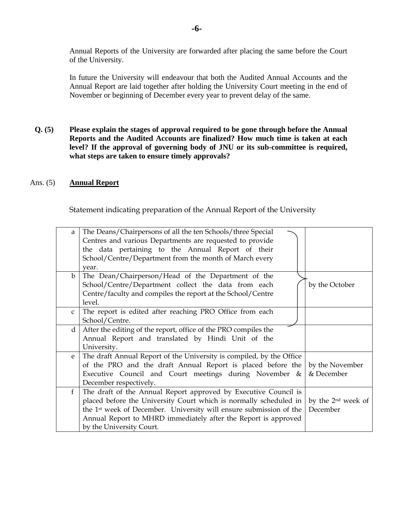Annual Reports of the University are forwarded after placing the same before the Court of the University.

In future the University will endeavour that both the Audited Annual Accounts and the Annual Report are laid together after holding the University Court meeting in the end of November or beginning of December every year to prevent delay of the same.

**Q. (5) Please explain the stages of approval required to be gone through before the Annual Reports and the Audited Accounts are finalized? How much time is taken at each level? If the approval of governing body of JNU or its sub-committee is required, what steps are taken to ensure timely approvals?** 

### Ans. (5) **Annual Report**

Statement indicating preparation of the Annual Report of the University

| a               | The Deans/Chairpersons of all the ten Schools/three Special<br>Centres and various Departments are requested to provide<br>the data pertaining to the Annual Report of their<br>School/Centre/Department from the month of March every                                                                               |                                            |
|-----------------|----------------------------------------------------------------------------------------------------------------------------------------------------------------------------------------------------------------------------------------------------------------------------------------------------------------------|--------------------------------------------|
| $\mathbf b$     | vear.<br>The Dean/Chairperson/Head of the Department of the<br>School/Centre/Department collect the data from each<br>Centre/faculty and compiles the report at the School/Centre<br>level.                                                                                                                          | by the October                             |
| $\mathsf{C}$    | The report is edited after reaching PRO Office from each<br>School/Centre.                                                                                                                                                                                                                                           |                                            |
| $\mathbf{d}$    | After the editing of the report, office of the PRO compiles the<br>Annual Report and translated by Hindi Unit of the<br>University.                                                                                                                                                                                  |                                            |
| e               | The draft Annual Report of the University is compiled, by the Office<br>of the PRO and the draft Annual Report is placed before the<br>Executive Council and Court meetings during November &<br>December respectively.                                                                                              | by the November<br>& December              |
| $f_{\parallel}$ | The draft of the Annual Report approved by Executive Council is<br>placed before the University Court which is normally scheduled in<br>the 1 <sup>st</sup> week of December. University will ensure submission of the<br>Annual Report to MHRD immediately after the Report is approved<br>by the University Court. | by the 2 <sup>nd</sup> week of<br>December |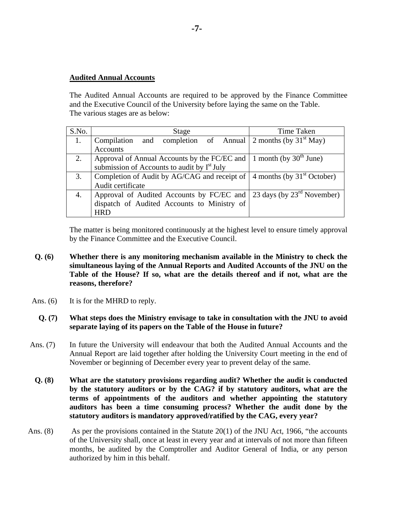### **Audited Annual Accounts**

The Audited Annual Accounts are required to be approved by the Finance Committee and the Executive Council of the University before laying the same on the Table. The various stages are as below:

| S.No. | Stage                                                                                       | <b>Time Taken</b> |
|-------|---------------------------------------------------------------------------------------------|-------------------|
|       | Compilation and completion of Annual 2 months (by $31st$ May)                               |                   |
|       | <b>Accounts</b>                                                                             |                   |
| 2.    | Approval of Annual Accounts by the FC/EC and $\vert$ 1 month (by 30 <sup>th</sup> June)     |                   |
|       | submission of Accounts to audit by I <sup>st</sup> July                                     |                   |
| 3.    | Completion of Audit by AG/CAG and receipt of $\vert$ 4 months (by 31 <sup>st</sup> October) |                   |
|       | Audit certificate                                                                           |                   |
| 4.    | Approval of Audited Accounts by FC/EC and $\vert$ 23 days (by 23 <sup>rd</sup> November)    |                   |
|       | dispatch of Audited Accounts to Ministry of                                                 |                   |
|       | <b>HRD</b>                                                                                  |                   |

The matter is being monitored continuously at the highest level to ensure timely approval by the Finance Committee and the Executive Council.

- **Q. (6) Whether there is any monitoring mechanism available in the Ministry to check the simultaneous laying of the Annual Reports and Audited Accounts of the JNU on the Table of the House? If so, what are the details thereof and if not, what are the reasons, therefore?**
- Ans. (6) It is for the MHRD to reply.
	- **Q. (7) What steps does the Ministry envisage to take in consultation with the JNU to avoid separate laying of its papers on the Table of the House in future?**
- Ans. (7) In future the University will endeavour that both the Audited Annual Accounts and the Annual Report are laid together after holding the University Court meeting in the end of November or beginning of December every year to prevent delay of the same.
- **Q. (8) What are the statutory provisions regarding audit? Whether the audit is conducted by the statutory auditors or by the CAG? if by statutory auditors, what are the terms of appointments of the auditors and whether appointing the statutory auditors has been a time consuming process? Whether the audit done by the statutory auditors is mandatory approved/ratified by the CAG, every year?**
- Ans.  $(8)$  As per the provisions contained in the Statute 20(1) of the JNU Act, 1966, "the accounts of the University shall, once at least in every year and at intervals of not more than fifteen months, be audited by the Comptroller and Auditor General of India, or any person authorized by him in this behalf.